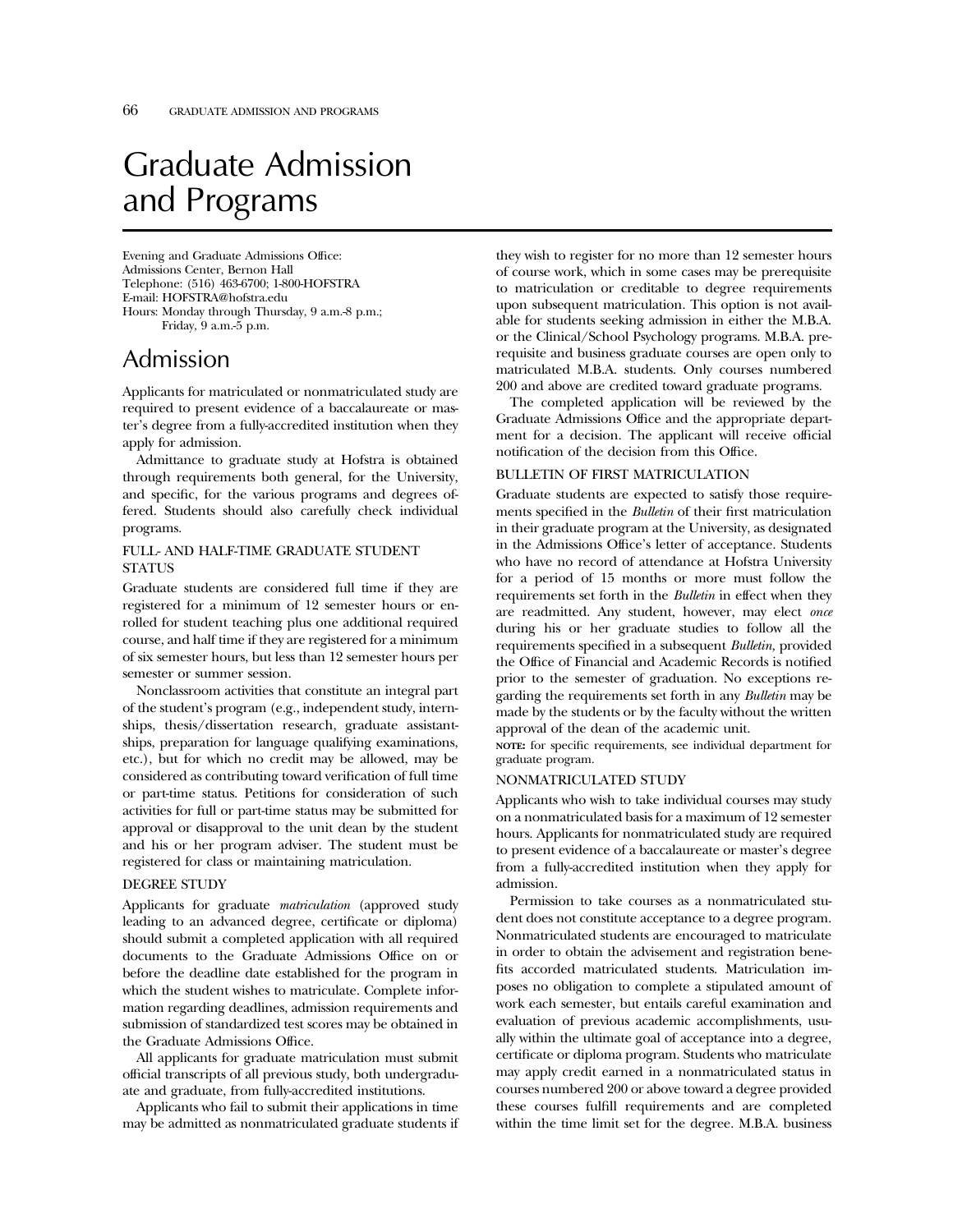# Graduate Admission and Programs

Evening and Graduate Admissions Office: Admissions Center, Bernon Hall Telephone: (516) 463-6700; 1-800-HOFSTRA E-mail: HOFSTRA@hofstra.edu Hours: Monday through Thursday, 9 a.m.-8 p.m.; Friday, 9 a.m.-5 p.m.

# Admission

Applicants for matriculated or nonmatriculated study are required to present evidence of a baccalaureate or master's degree from a fully-accredited institution when they apply for admission.

Admittance to graduate study at Hofstra is obtained through requirements both general, for the University, and specific, for the various programs and degrees offered. Students should also carefully check individual programs.

## FULL- AND HALF-TIME GRADUATE STUDENT **STATUS**

Graduate students are considered full time if they are registered for a minimum of 12 semester hours or enrolled for student teaching plus one additional required course, and half time if they are registered for a minimum of six semester hours, but less than 12 semester hours per semester or summer session.

Nonclassroom activities that constitute an integral part of the student's program (e.g., independent study, internships, thesis/dissertation research, graduate assistantships, preparation for language qualifying examinations, etc.), but for which no credit may be allowed, may be considered as contributing toward verification of full time or part-time status. Petitions for consideration of such activities for full or part-time status may be submitted for approval or disapproval to the unit dean by the student and his or her program adviser. The student must be registered for class or maintaining matriculation.

### DEGREE STUDY

Applicants for graduate *matriculation* (approved study leading to an advanced degree, certificate or diploma) should submit a completed application with all required documents to the Graduate Admissions Office on or before the deadline date established for the program in which the student wishes to matriculate. Complete information regarding deadlines, admission requirements and submission of standardized test scores may be obtained in the Graduate Admissions Office.

All applicants for graduate matriculation must submit official transcripts of all previous study, both undergraduate and graduate, from fully-accredited institutions.

Applicants who fail to submit their applications in time may be admitted as nonmatriculated graduate students if they wish to register for no more than 12 semester hours of course work, which in some cases may be prerequisite to matriculation or creditable to degree requirements upon subsequent matriculation. This option is not available for students seeking admission in either the M.B.A. or the Clinical/School Psychology programs. M.B.A. prerequisite and business graduate courses are open only to matriculated M.B.A. students. Only courses numbered 200 and above are credited toward graduate programs.

The completed application will be reviewed by the Graduate Admissions Office and the appropriate department for a decision. The applicant will receive official notification of the decision from this Office.

#### BULLETIN OF FIRST MATRICULATION

Graduate students are expected to satisfy those requirements specified in the *Bulletin* of their first matriculation in their graduate program at the University, as designated in the Admissions Office's letter of acceptance. Students who have no record of attendance at Hofstra University for a period of 15 months or more must follow the requirements set forth in the *Bulletin* in effect when they are readmitted. Any student, however, may elect *once* during his or her graduate studies to follow all the requirements specified in a subsequent *Bulletin,* provided the Office of Financial and Academic Records is notified prior to the semester of graduation. No exceptions regarding the requirements set forth in any *Bulletin* may be made by the students or by the faculty without the written approval of the dean of the academic unit.

**NOTE:** for specific requirements, see individual department for graduate program.

#### NONMATRICULATED STUDY

Applicants who wish to take individual courses may study on a nonmatriculated basis for a maximum of 12 semester hours. Applicants for nonmatriculated study are required to present evidence of a baccalaureate or master's degree from a fully-accredited institution when they apply for admission.

Permission to take courses as a nonmatriculated student does not constitute acceptance to a degree program. Nonmatriculated students are encouraged to matriculate in order to obtain the advisement and registration benefits accorded matriculated students. Matriculation imposes no obligation to complete a stipulated amount of work each semester, but entails careful examination and evaluation of previous academic accomplishments, usually within the ultimate goal of acceptance into a degree, certificate or diploma program. Students who matriculate may apply credit earned in a nonmatriculated status in courses numbered 200 or above toward a degree provided these courses fulfill requirements and are completed within the time limit set for the degree. M.B.A. business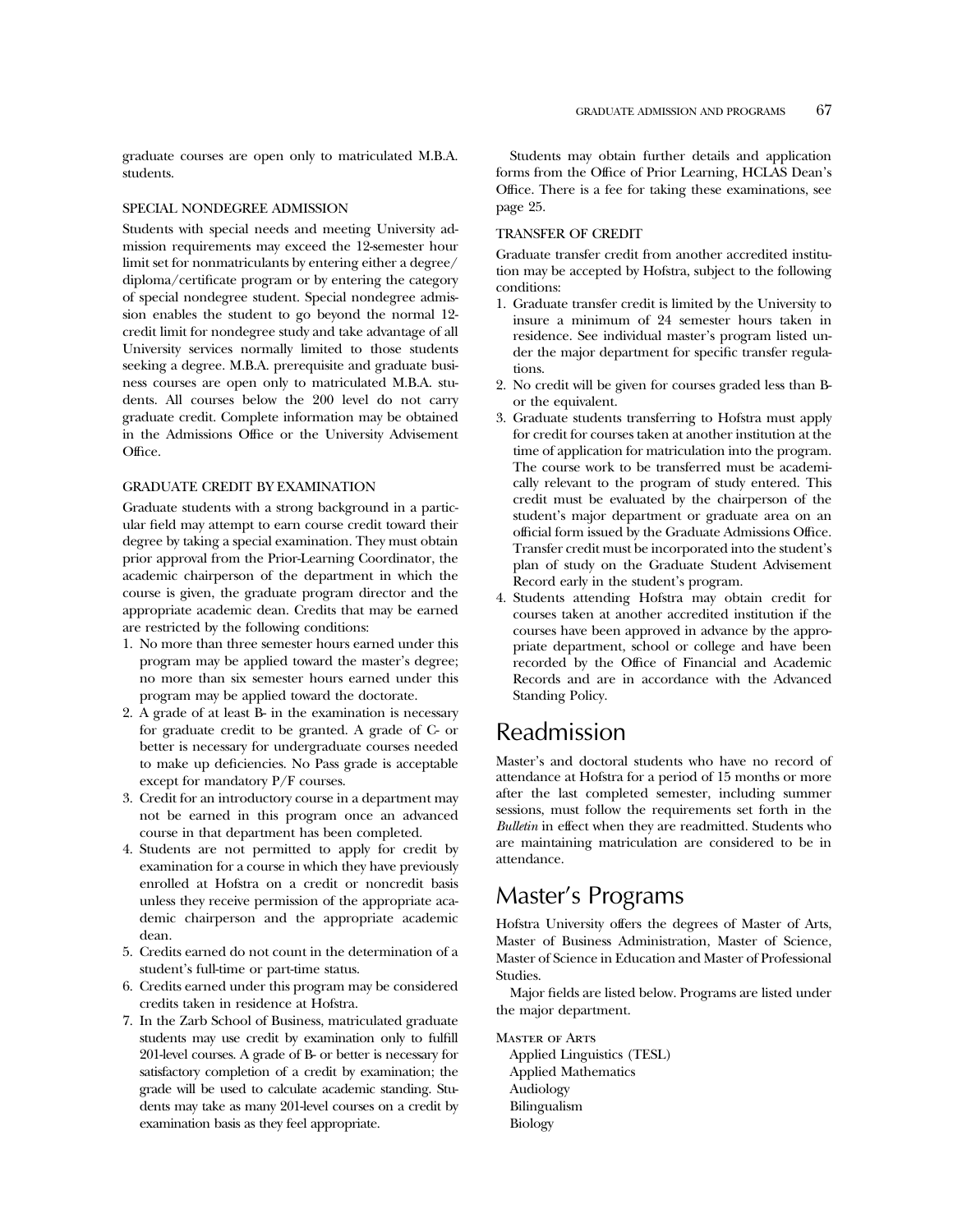graduate courses are open only to matriculated M.B.A. students.

#### SPECIAL NONDEGREE ADMISSION

Students with special needs and meeting University admission requirements may exceed the 12-semester hour limit set for nonmatriculants by entering either a degree/ diploma/certificate program or by entering the category of special nondegree student. Special nondegree admission enables the student to go beyond the normal 12 credit limit for nondegree study and take advantage of all University services normally limited to those students seeking a degree. M.B.A. prerequisite and graduate business courses are open only to matriculated M.B.A. students. All courses below the 200 level do not carry graduate credit. Complete information may be obtained in the Admissions Office or the University Advisement Office.

### GRADUATE CREDIT BY EXAMINATION

Graduate students with a strong background in a particular field may attempt to earn course credit toward their degree by taking a special examination. They must obtain prior approval from the Prior-Learning Coordinator, the academic chairperson of the department in which the course is given, the graduate program director and the appropriate academic dean. Credits that may be earned are restricted by the following conditions:

- 1. No more than three semester hours earned under this program may be applied toward the master's degree; no more than six semester hours earned under this program may be applied toward the doctorate.
- 2. A grade of at least B- in the examination is necessary for graduate credit to be granted. A grade of C- or better is necessary for undergraduate courses needed to make up deficiencies. No Pass grade is acceptable except for mandatory P/F courses.
- 3. Credit for an introductory course in a department may not be earned in this program once an advanced course in that department has been completed.
- 4. Students are not permitted to apply for credit by examination for a course in which they have previously enrolled at Hofstra on a credit or noncredit basis unless they receive permission of the appropriate academic chairperson and the appropriate academic dean.
- 5. Credits earned do not count in the determination of a student's full-time or part-time status.
- 6. Credits earned under this program may be considered credits taken in residence at Hofstra.
- 7. In the Zarb School of Business, matriculated graduate students may use credit by examination only to fulfill 201-level courses. A grade of B- or better is necessary for satisfactory completion of a credit by examination; the grade will be used to calculate academic standing. Students may take as many 201-level courses on a credit by examination basis as they feel appropriate.

Students may obtain further details and application forms from the Office of Prior Learning, HCLAS Dean's Office. There is a fee for taking these examinations, see page 25.

#### TRANSFER OF CREDIT

Graduate transfer credit from another accredited institution may be accepted by Hofstra, subject to the following conditions:

- 1. Graduate transfer credit is limited by the University to insure a minimum of 24 semester hours taken in residence. See individual master's program listed under the major department for specific transfer regulations.
- 2. No credit will be given for courses graded less than Bor the equivalent.
- 3. Graduate students transferring to Hofstra must apply for credit for courses taken at another institution at the time of application for matriculation into the program. The course work to be transferred must be academically relevant to the program of study entered. This credit must be evaluated by the chairperson of the student's major department or graduate area on an official form issued by the Graduate Admissions Office. Transfer credit must be incorporated into the student's plan of study on the Graduate Student Advisement Record early in the student's program.
- 4. Students attending Hofstra may obtain credit for courses taken at another accredited institution if the courses have been approved in advance by the appropriate department, school or college and have been recorded by the Office of Financial and Academic Records and are in accordance with the Advanced Standing Policy.

# Readmission

Master's and doctoral students who have no record of attendance at Hofstra for a period of 15 months or more after the last completed semester, including summer sessions, must follow the requirements set forth in the *Bulletin* in effect when they are readmitted. Students who are maintaining matriculation are considered to be in attendance.

# Master's Programs

Hofstra University offers the degrees of Master of Arts, Master of Business Administration, Master of Science, Master of Science in Education and Master of Professional Studies.

Major fields are listed below. Programs are listed under the major department.

Master of Arts Applied Linguistics (TESL) Applied Mathematics Audiology Bilingualism Biology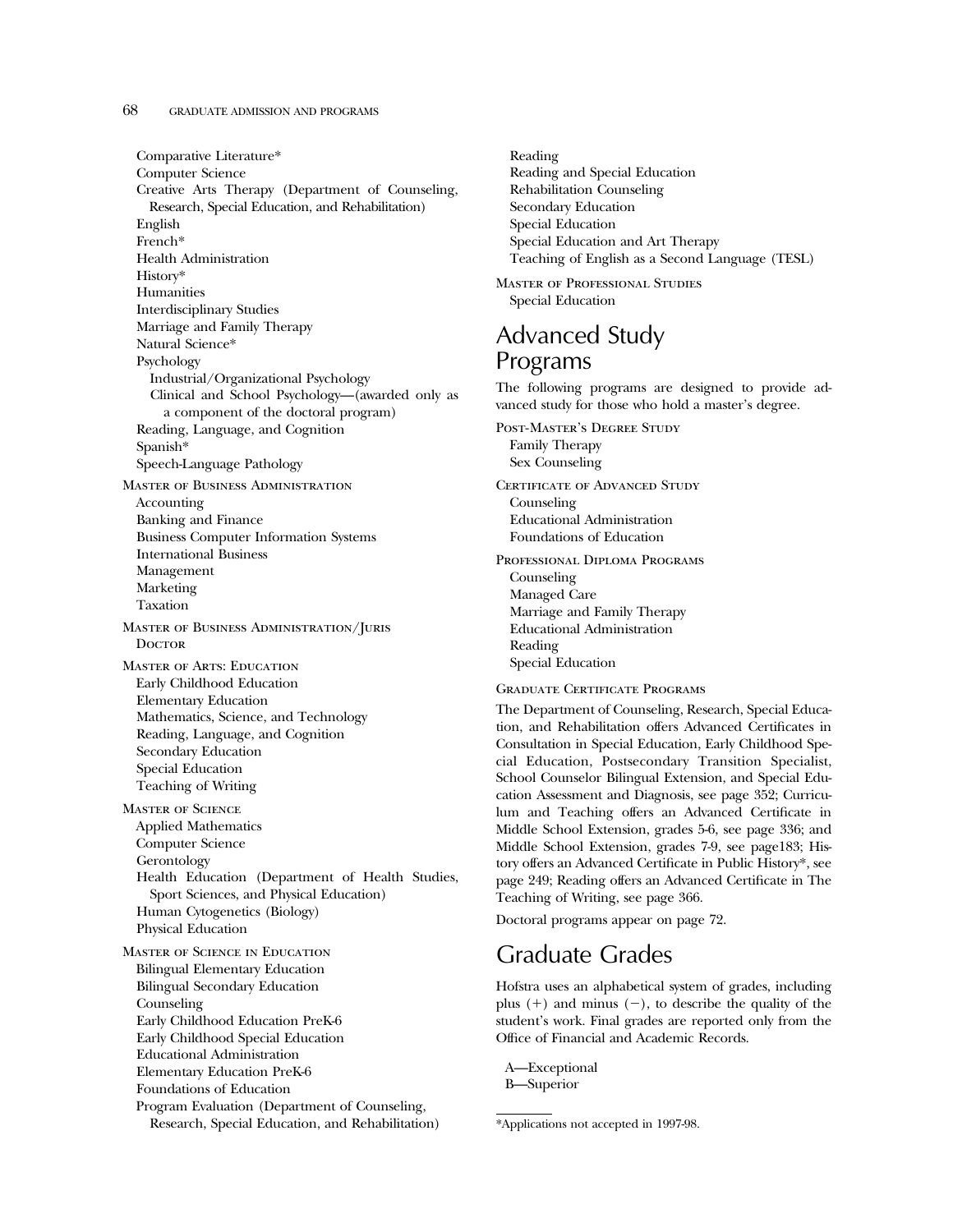### 68 GRADUATE ADMISSION AND PROGRAMS

Comparative Literature\* Computer Science Creative Arts Therapy (Department of Counseling, Research, Special Education, and Rehabilitation) English French\* Health Administration History\* Humanities Interdisciplinary Studies Marriage and Family Therapy Natural Science\* Psychology Industrial/Organizational Psychology Clinical and School Psychology—(awarded only as a component of the doctoral program) Reading, Language, and Cognition Spanish\* Speech-Language Pathology Master of Business Administration Accounting Banking and Finance Business Computer Information Systems International Business Management Marketing Taxation Master of Business Administration/Juris **DOCTOR** Master of Arts: Education Early Childhood Education Elementary Education Mathematics, Science, and Technology Reading, Language, and Cognition Secondary Education Special Education Teaching of Writing Master of Science Applied Mathematics Computer Science Gerontology Health Education (Department of Health Studies, Sport Sciences, and Physical Education) Human Cytogenetics (Biology) Physical Education Master of Science in Education Bilingual Elementary Education Bilingual Secondary Education Counseling Early Childhood Education PreK-6 Early Childhood Special Education Educational Administration Elementary Education PreK-6 Foundations of Education Program Evaluation (Department of Counseling,

Research, Special Education, and Rehabilitation)

Reading Reading and Special Education Rehabilitation Counseling Secondary Education Special Education Special Education and Art Therapy Teaching of English as a Second Language (TESL)

Master of Professional Studies Special Education

# Advanced Study Programs

The following programs are designed to provide advanced study for those who hold a master's degree.

Post-Master's Degree Study Family Therapy Sex Counseling CERTIFICATE OF ADVANCED STUDY Counseling Educational Administration Foundations of Education Professional Diploma Programs Counseling

Managed Care Marriage and Family Therapy Educational Administration Reading Special Education

Graduate Certificate Programs

The Department of Counseling, Research, Special Education, and Rehabilitation offers Advanced Certificates in Consultation in Special Education, Early Childhood Special Education, Postsecondary Transition Specialist, School Counselor Bilingual Extension, and Special Education Assessment and Diagnosis, see page 352; Curriculum and Teaching offers an Advanced Certificate in Middle School Extension, grades 5-6, see page 336; and Middle School Extension, grades 7-9, see page183; History offers an Advanced Certificate in Public History\*, see page 249; Reading offers an Advanced Certificate in The Teaching of Writing, see page 366.

Doctoral programs appear on page 72.

# Graduate Grades

Hofstra uses an alphabetical system of grades, including plus  $(+)$  and minus  $(-)$ , to describe the quality of the student's work. Final grades are reported only from the Office of Financial and Academic Records.

A—Exceptional B—Superior

<sup>\*</sup>Applications not accepted in 1997-98.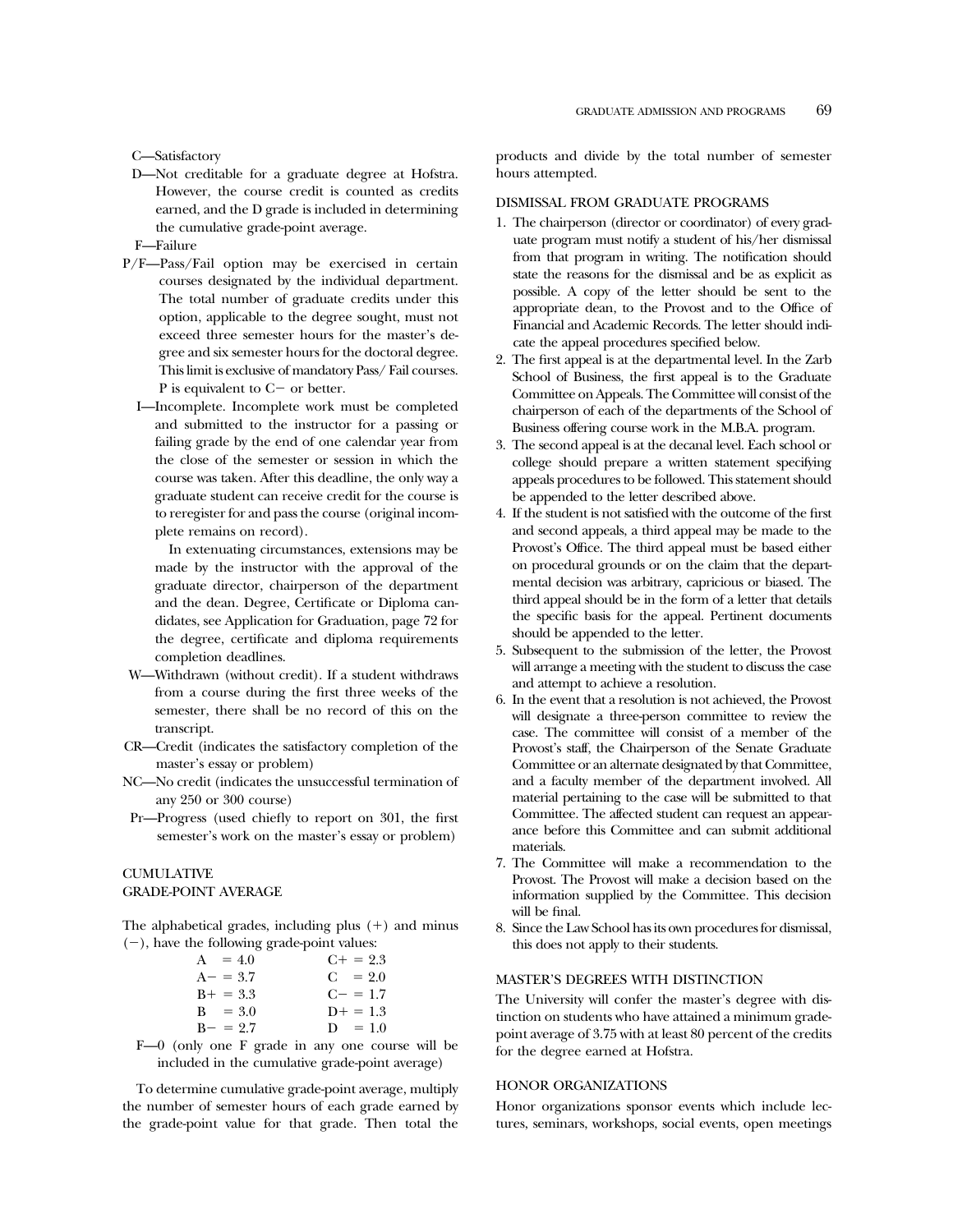C—Satisfactory

- D—Not creditable for a graduate degree at Hofstra. However, the course credit is counted as credits earned, and the D grade is included in determining the cumulative grade-point average.
- F—Failure
- P/F—Pass/Fail option may be exercised in certain courses designated by the individual department. The total number of graduate credits under this option, applicable to the degree sought, must not exceed three semester hours for the master's degree and six semester hours for the doctoral degree. This limit is exclusive of mandatory Pass/ Fail courses. P is equivalent to  $C-$  or better.
	- I—Incomplete. Incomplete work must be completed and submitted to the instructor for a passing or failing grade by the end of one calendar year from the close of the semester or session in which the course was taken. After this deadline, the only way a graduate student can receive credit for the course is to reregister for and pass the course (original incomplete remains on record).

In extenuating circumstances, extensions may be made by the instructor with the approval of the graduate director, chairperson of the department and the dean. Degree, Certificate or Diploma candidates, see Application for Graduation, page 72 for the degree, certificate and diploma requirements completion deadlines.

- W—Withdrawn (without credit). If a student withdraws from a course during the first three weeks of the semester, there shall be no record of this on the transcript.
- CR—Credit (indicates the satisfactory completion of the master's essay or problem)
- NC—No credit (indicates the unsuccessful termination of any 250 or 300 course)
- Pr—Progress (used chiefly to report on 301, the first semester's work on the master's essay or problem)

### CUMULATIVE GRADE-POINT AVERAGE

The alphabetical grades, including plus  $(+)$  and minus  $(-)$ , have the following grade-point values:

| $A = 4.0$   | $C_{+} = 2.3$ |
|-------------|---------------|
| $A - = 3.7$ | $C = 2.0$     |
| $B+ = 3.3$  | $C = 1.7$     |
| $B = 3.0$   | $D+ = 1.3$    |
| $B - = 2.7$ | $D = 1.0$     |

F—0 (only one F grade in any one course will be included in the cumulative grade-point average)

To determine cumulative grade-point average, multiply the number of semester hours of each grade earned by the grade-point value for that grade. Then total the products and divide by the total number of semester hours attempted.

### DISMISSAL FROM GRADUATE PROGRAMS

- 1. The chairperson (director or coordinator) of every graduate program must notify a student of his/her dismissal from that program in writing. The notification should state the reasons for the dismissal and be as explicit as possible. A copy of the letter should be sent to the appropriate dean, to the Provost and to the Office of Financial and Academic Records. The letter should indicate the appeal procedures specified below.
- 2. The first appeal is at the departmental level. In the Zarb School of Business, the first appeal is to the Graduate Committee on Appeals. The Committee will consist of the chairperson of each of the departments of the School of Business offering course work in the M.B.A. program.
- 3. The second appeal is at the decanal level. Each school or college should prepare a written statement specifying appeals procedures to be followed. This statement should be appended to the letter described above.
- 4. If the student is not satisfied with the outcome of the first and second appeals, a third appeal may be made to the Provost's Office. The third appeal must be based either on procedural grounds or on the claim that the departmental decision was arbitrary, capricious or biased. The third appeal should be in the form of a letter that details the specific basis for the appeal. Pertinent documents should be appended to the letter.
- 5. Subsequent to the submission of the letter, the Provost will arrange a meeting with the student to discuss the case and attempt to achieve a resolution.
- 6. In the event that a resolution is not achieved, the Provost will designate a three-person committee to review the case. The committee will consist of a member of the Provost's staff, the Chairperson of the Senate Graduate Committee or an alternate designated by that Committee, and a faculty member of the department involved. All material pertaining to the case will be submitted to that Committee. The affected student can request an appearance before this Committee and can submit additional materials.
- 7. The Committee will make a recommendation to the Provost. The Provost will make a decision based on the information supplied by the Committee. This decision will be final.
- 8. Since the Law School has its own procedures for dismissal, this does not apply to their students.

#### MASTER'S DEGREES WITH DISTINCTION

The University will confer the master's degree with distinction on students who have attained a minimum gradepoint average of 3.75 with at least 80 percent of the credits for the degree earned at Hofstra.

### HONOR ORGANIZATIONS

Honor organizations sponsor events which include lectures, seminars, workshops, social events, open meetings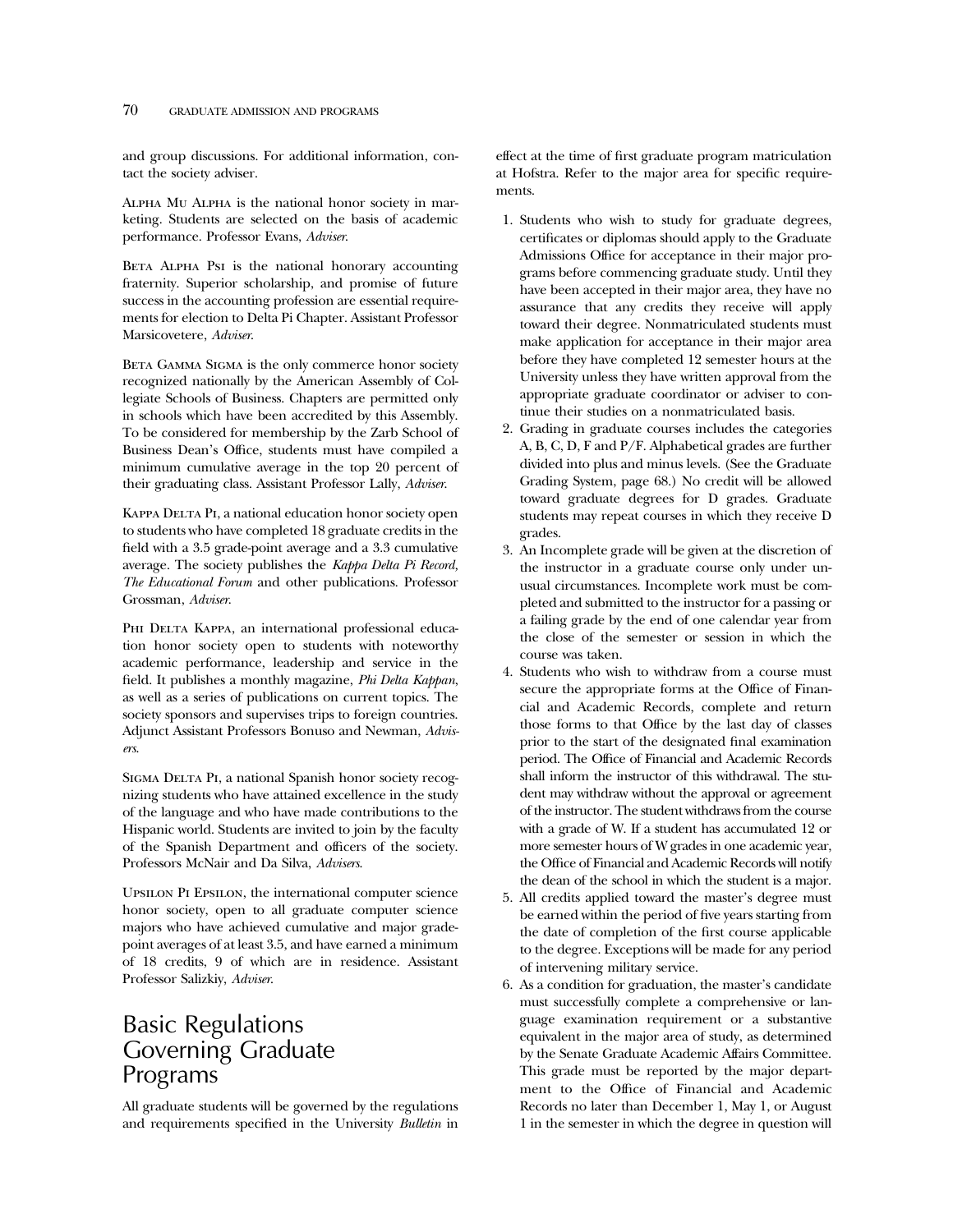### 70 GRADUATE ADMISSION AND PROGRAMS

and group discussions. For additional information, contact the society adviser.

Alpha Mu Alpha is the national honor society in marketing. Students are selected on the basis of academic performance. Professor Evans, *Adviser*.

BETA ALPHA PsI is the national honorary accounting fraternity. Superior scholarship, and promise of future success in the accounting profession are essential requirements for election to Delta Pi Chapter. Assistant Professor Marsicovetere, *Adviser*.

BETA GAMMA SIGMA is the only commerce honor society recognized nationally by the American Assembly of Collegiate Schools of Business. Chapters are permitted only in schools which have been accredited by this Assembly. To be considered for membership by the Zarb School of Business Dean's Office, students must have compiled a minimum cumulative average in the top 20 percent of their graduating class. Assistant Professor Lally, *Adviser*.

KAPPA DELTA PI, a national education honor society open to students who have completed 18 graduate credits in the field with a 3.5 grade-point average and a 3.3 cumulative average. The society publishes the *Kappa Delta Pi Record, The Educational Forum* and other publications. Professor Grossman, *Adviser*.

PHI DELTA KAPPA, an international professional education honor society open to students with noteworthy academic performance, leadership and service in the field. It publishes a monthly magazine, *Phi Delta Kappan*, as well as a series of publications on current topics. The society sponsors and supervises trips to foreign countries. Adjunct Assistant Professors Bonuso and Newman, *Advisers*.

SIGMA DELTA PI, a national Spanish honor society recognizing students who have attained excellence in the study of the language and who have made contributions to the Hispanic world. Students are invited to join by the faculty of the Spanish Department and officers of the society. Professors McNair and Da Silva, *Advisers*.

Upsilon Pi Epsilon, the international computer science honor society, open to all graduate computer science majors who have achieved cumulative and major gradepoint averages of at least 3.5, and have earned a minimum of 18 credits, 9 of which are in residence. Assistant Professor Salizkiy, *Adviser*.

# Basic Regulations Governing Graduate Programs

All graduate students will be governed by the regulations and requirements specified in the University *Bulletin* in effect at the time of first graduate program matriculation at Hofstra. Refer to the major area for specific requirements.

- 1. Students who wish to study for graduate degrees, certificates or diplomas should apply to the Graduate Admissions Office for acceptance in their major programs before commencing graduate study. Until they have been accepted in their major area, they have no assurance that any credits they receive will apply toward their degree. Nonmatriculated students must make application for acceptance in their major area before they have completed 12 semester hours at the University unless they have written approval from the appropriate graduate coordinator or adviser to continue their studies on a nonmatriculated basis.
- 2. Grading in graduate courses includes the categories A, B, C, D, F and P/F. Alphabetical grades are further divided into plus and minus levels. (See the Graduate Grading System, page 68.) No credit will be allowed toward graduate degrees for D grades. Graduate students may repeat courses in which they receive D grades.
- 3. An Incomplete grade will be given at the discretion of the instructor in a graduate course only under unusual circumstances. Incomplete work must be completed and submitted to the instructor for a passing or a failing grade by the end of one calendar year from the close of the semester or session in which the course was taken.
- 4. Students who wish to withdraw from a course must secure the appropriate forms at the Office of Financial and Academic Records, complete and return those forms to that Office by the last day of classes prior to the start of the designated final examination period. The Office of Financial and Academic Records shall inform the instructor of this withdrawal. The student may withdraw without the approval or agreement of the instructor. The student withdraws from the course with a grade of W. If a student has accumulated 12 or more semester hours of W grades in one academic year, the Office of Financial and Academic Records will notify the dean of the school in which the student is a major.
- 5. All credits applied toward the master's degree must be earned within the period of five years starting from the date of completion of the first course applicable to the degree. Exceptions will be made for any period of intervening military service.
- 6. As a condition for graduation, the master's candidate must successfully complete a comprehensive or language examination requirement or a substantive equivalent in the major area of study, as determined by the Senate Graduate Academic Affairs Committee. This grade must be reported by the major department to the Office of Financial and Academic Records no later than December 1, May 1, or August 1 in the semester in which the degree in question will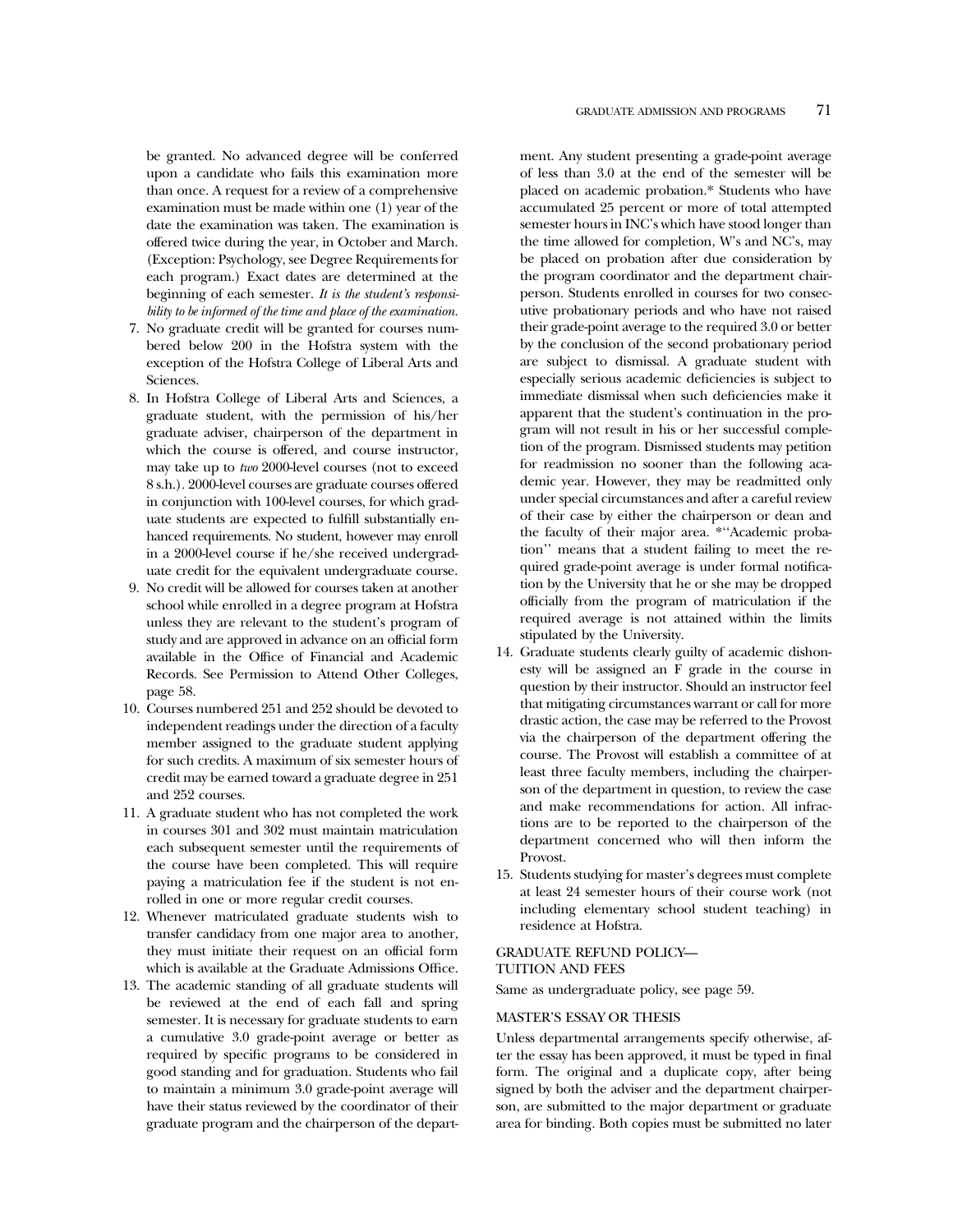be granted. No advanced degree will be conferred upon a candidate who fails this examination more than once. A request for a review of a comprehensive examination must be made within one (1) year of the date the examination was taken. The examination is offered twice during the year, in October and March. (Exception: Psychology, see Degree Requirements for each program.) Exact dates are determined at the beginning of each semester. *It is the student's responsibility to be informed of the time and place of the examination.*

- 7. No graduate credit will be granted for courses numbered below 200 in the Hofstra system with the exception of the Hofstra College of Liberal Arts and Sciences.
- 8. In Hofstra College of Liberal Arts and Sciences, a graduate student, with the permission of his/her graduate adviser, chairperson of the department in which the course is offered, and course instructor, may take up to *two* 2000-level courses (not to exceed 8 s.h.). 2000-level courses are graduate courses offered in conjunction with 100-level courses, for which graduate students are expected to fulfill substantially enhanced requirements. No student, however may enroll in a 2000-level course if he/she received undergraduate credit for the equivalent undergraduate course.
- 9. No credit will be allowed for courses taken at another school while enrolled in a degree program at Hofstra unless they are relevant to the student's program of study and are approved in advance on an official form available in the Office of Financial and Academic Records. See Permission to Attend Other Colleges, page 58.
- 10. Courses numbered 251 and 252 should be devoted to independent readings under the direction of a faculty member assigned to the graduate student applying for such credits. A maximum of six semester hours of credit may be earned toward a graduate degree in 251 and 252 courses.
- 11. A graduate student who has not completed the work in courses 301 and 302 must maintain matriculation each subsequent semester until the requirements of the course have been completed. This will require paying a matriculation fee if the student is not enrolled in one or more regular credit courses.
- 12. Whenever matriculated graduate students wish to transfer candidacy from one major area to another, they must initiate their request on an official form which is available at the Graduate Admissions Office.
- 13. The academic standing of all graduate students will be reviewed at the end of each fall and spring semester. It is necessary for graduate students to earn a cumulative 3.0 grade-point average or better as required by specific programs to be considered in good standing and for graduation. Students who fail to maintain a minimum 3.0 grade-point average will have their status reviewed by the coordinator of their graduate program and the chairperson of the depart-

ment. Any student presenting a grade-point average of less than 3.0 at the end of the semester will be placed on academic probation.\* Students who have accumulated 25 percent or more of total attempted semester hours in INC's which have stood longer than the time allowed for completion, W's and NC's, may be placed on probation after due consideration by the program coordinator and the department chairperson. Students enrolled in courses for two consecutive probationary periods and who have not raised their grade-point average to the required 3.0 or better by the conclusion of the second probationary period are subject to dismissal. A graduate student with especially serious academic deficiencies is subject to immediate dismissal when such deficiencies make it apparent that the student's continuation in the program will not result in his or her successful completion of the program. Dismissed students may petition for readmission no sooner than the following academic year. However, they may be readmitted only under special circumstances and after a careful review of their case by either the chairperson or dean and the faculty of their major area. \*''Academic probation'' means that a student failing to meet the required grade-point average is under formal notification by the University that he or she may be dropped officially from the program of matriculation if the required average is not attained within the limits stipulated by the University.

- 14. Graduate students clearly guilty of academic dishonesty will be assigned an F grade in the course in question by their instructor. Should an instructor feel that mitigating circumstances warrant or call for more drastic action, the case may be referred to the Provost via the chairperson of the department offering the course. The Provost will establish a committee of at least three faculty members, including the chairperson of the department in question, to review the case and make recommendations for action. All infractions are to be reported to the chairperson of the department concerned who will then inform the Provost.
- 15. Students studying for master's degrees must complete at least 24 semester hours of their course work (not including elementary school student teaching) in residence at Hofstra.

#### GRADUATE REFUND POLICY—

#### TUITION AND FEES

Same as undergraduate policy, see page 59.

### MASTER'S ESSAY OR THESIS

Unless departmental arrangements specify otherwise, after the essay has been approved, it must be typed in final form. The original and a duplicate copy, after being signed by both the adviser and the department chairperson, are submitted to the major department or graduate area for binding. Both copies must be submitted no later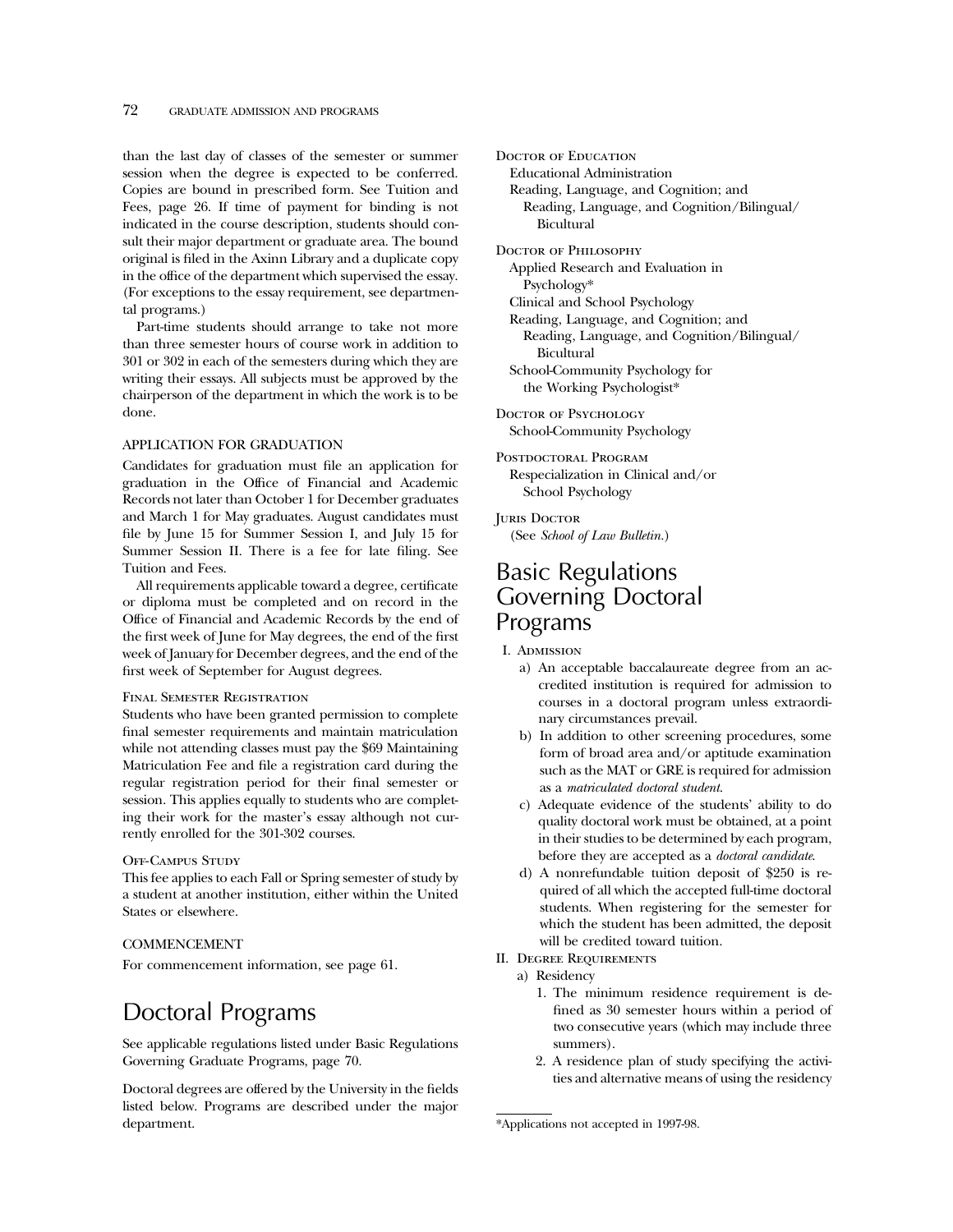than the last day of classes of the semester or summer session when the degree is expected to be conferred. Copies are bound in prescribed form. See Tuition and Fees, page 26. If time of payment for binding is not indicated in the course description, students should consult their major department or graduate area. The bound original is filed in the Axinn Library and a duplicate copy in the office of the department which supervised the essay. (For exceptions to the essay requirement, see departmental programs.)

Part-time students should arrange to take not more than three semester hours of course work in addition to 301 or 302 in each of the semesters during which they are writing their essays. All subjects must be approved by the chairperson of the department in which the work is to be done.

### APPLICATION FOR GRADUATION

Candidates for graduation must file an application for graduation in the Office of Financial and Academic Records not later than October 1 for December graduates and March 1 for May graduates. August candidates must file by June 15 for Summer Session I, and July 15 for Summer Session II. There is a fee for late filing. See Tuition and Fees.

All requirements applicable toward a degree, certificate or diploma must be completed and on record in the Office of Financial and Academic Records by the end of the first week of June for May degrees, the end of the first week of January for December degrees, and the end of the first week of September for August degrees.

#### Final Semester Registration

Students who have been granted permission to complete final semester requirements and maintain matriculation while not attending classes must pay the \$69 Maintaining Matriculation Fee and file a registration card during the regular registration period for their final semester or session. This applies equally to students who are completing their work for the master's essay although not currently enrolled for the 301-302 courses.

#### OFF-CAMPUS STUDY

This fee applies to each Fall or Spring semester of study by a student at another institution, either within the United States or elsewhere.

### COMMENCEMENT

For commencement information, see page 61.

# Doctoral Programs

See applicable regulations listed under Basic Regulations Governing Graduate Programs, page 70.

Doctoral degrees are offered by the University in the fields listed below. Programs are described under the major department.

Doctor of Education Educational Administration Reading, Language, and Cognition; and Reading, Language, and Cognition/Bilingual/ Bicultural

DOCTOR OF PHILOSOPHY

Applied Research and Evaluation in Psychology\*

Clinical and School Psychology

Reading, Language, and Cognition; and Reading, Language, and Cognition/Bilingual/ Bicultural

School-Community Psychology for the Working Psychologist\*

DOCTOR OF PSYCHOLOGY School-Community Psychology

POSTDOCTORAL PROGRAM Respecialization in Clinical and/or School Psychology

**JURIS DOCTOR** (See *School of Law Bulletin.*)

# Basic Regulations Governing Doctoral Programs

I. Admission

- a) An acceptable baccalaureate degree from an accredited institution is required for admission to courses in a doctoral program unless extraordinary circumstances prevail.
- b) In addition to other screening procedures, some form of broad area and/or aptitude examination such as the MAT or GRE is required for admission as a *matriculated doctoral student*.
- c) Adequate evidence of the students' ability to do quality doctoral work must be obtained, at a point in their studies to be determined by each program, before they are accepted as a *doctoral candidate*.
- d) A nonrefundable tuition deposit of \$250 is required of all which the accepted full-time doctoral students. When registering for the semester for which the student has been admitted, the deposit will be credited toward tuition.
- II. Degree Requirements
	- a) Residency
		- 1. The minimum residence requirement is defined as 30 semester hours within a period of two consecutive years (which may include three summers).
		- 2. A residence plan of study specifying the activities and alternative means of using the residency

<sup>\*</sup>Applications not accepted in 1997-98.